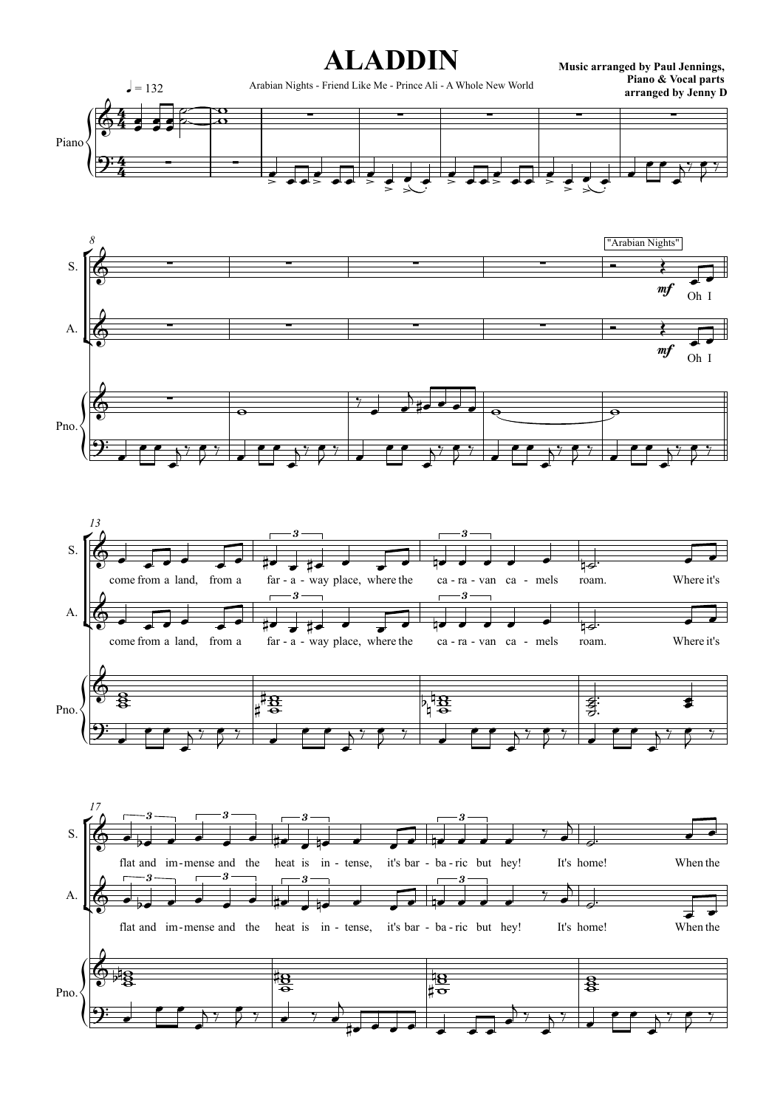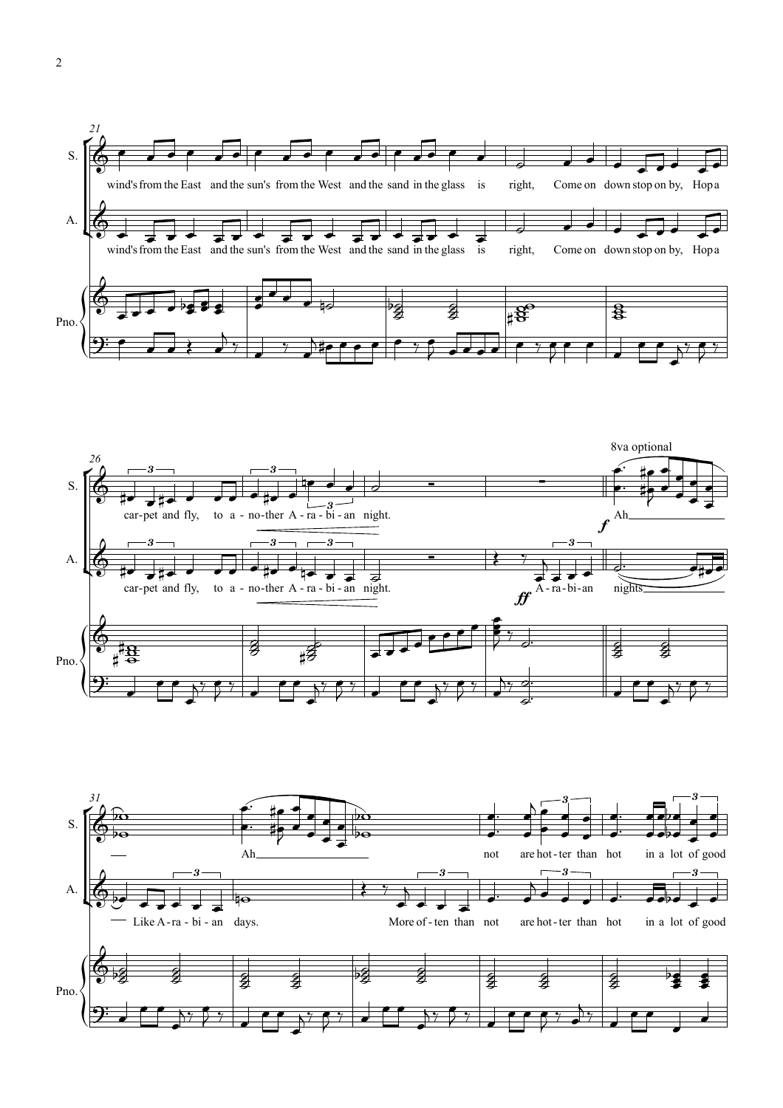



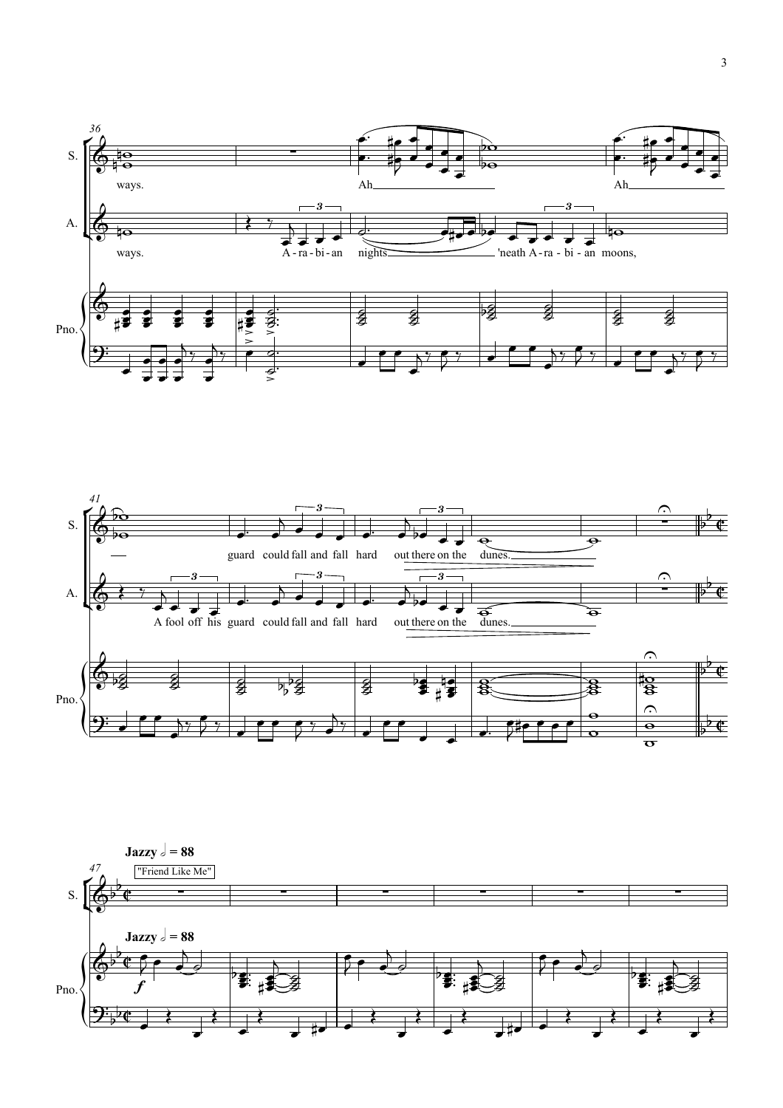



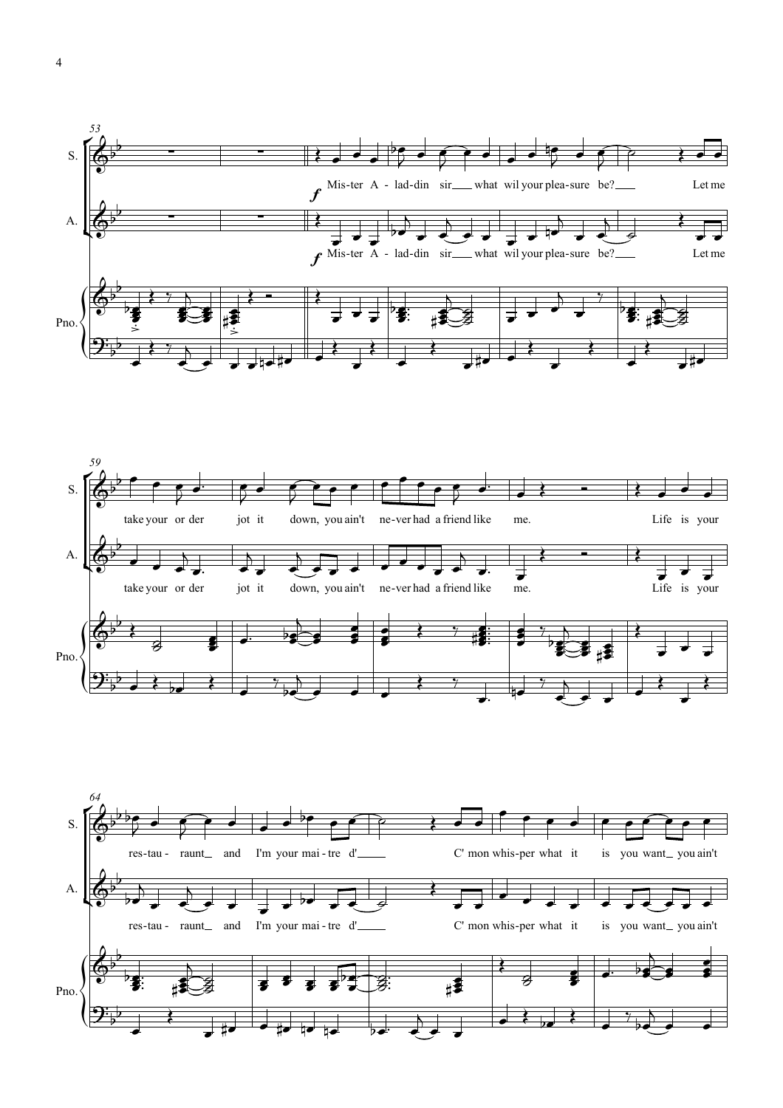



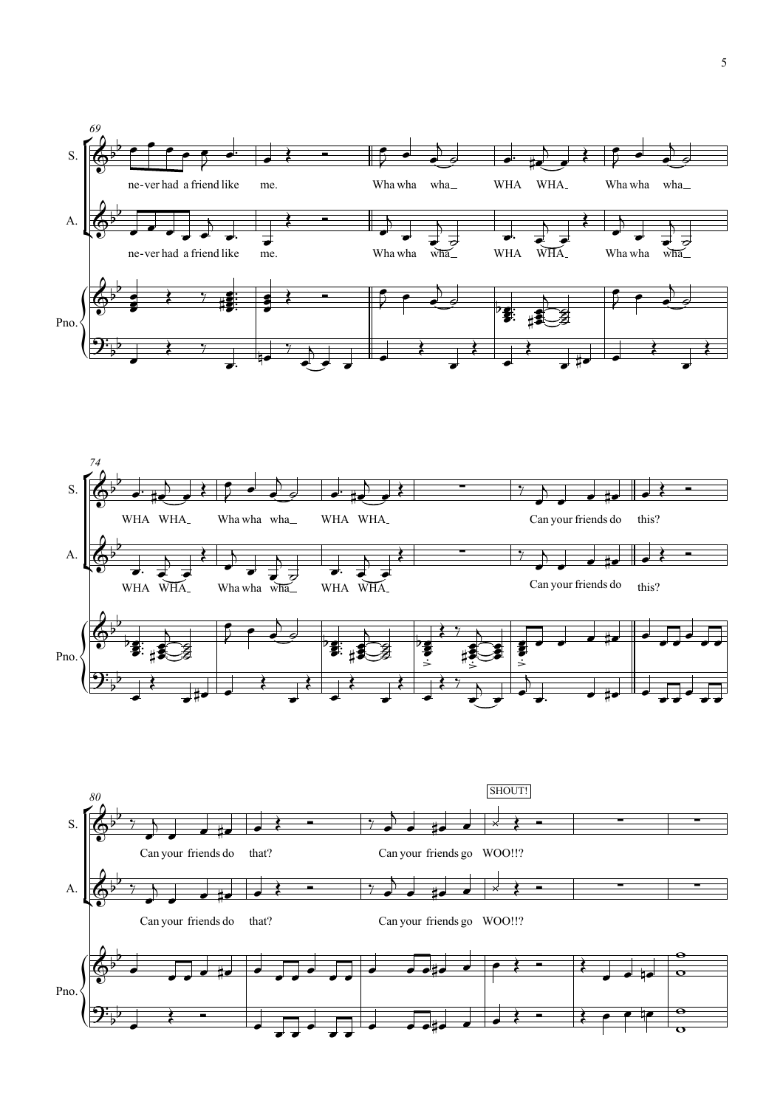



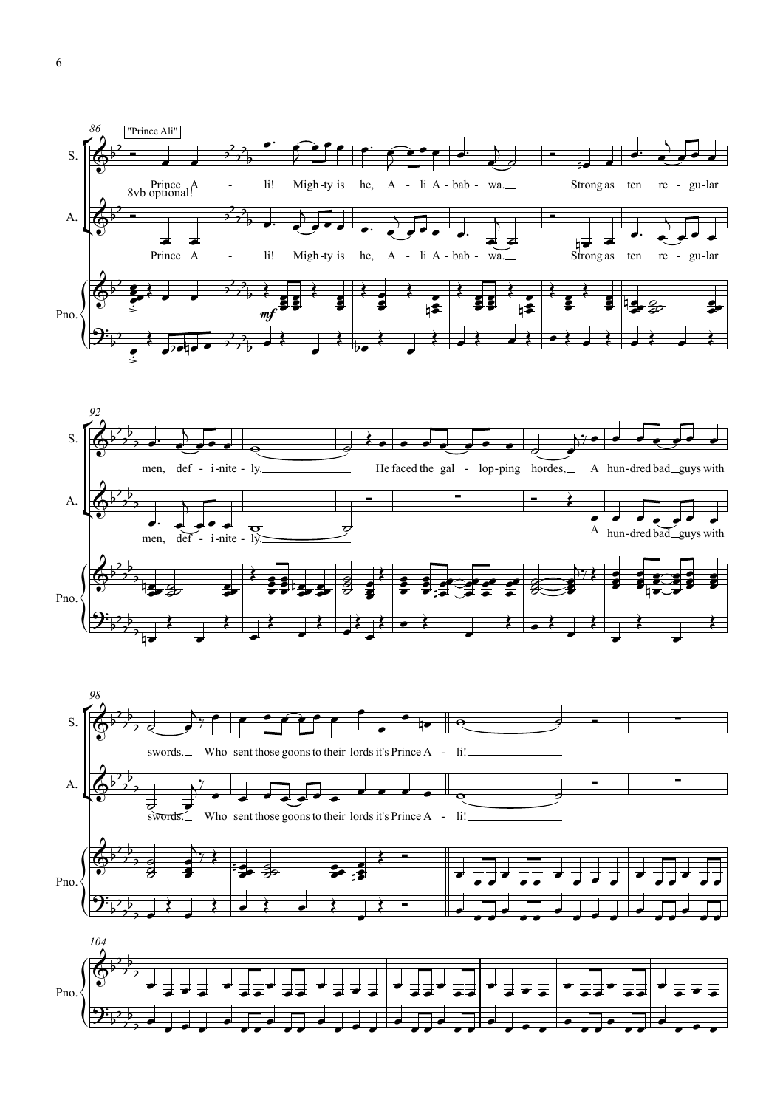





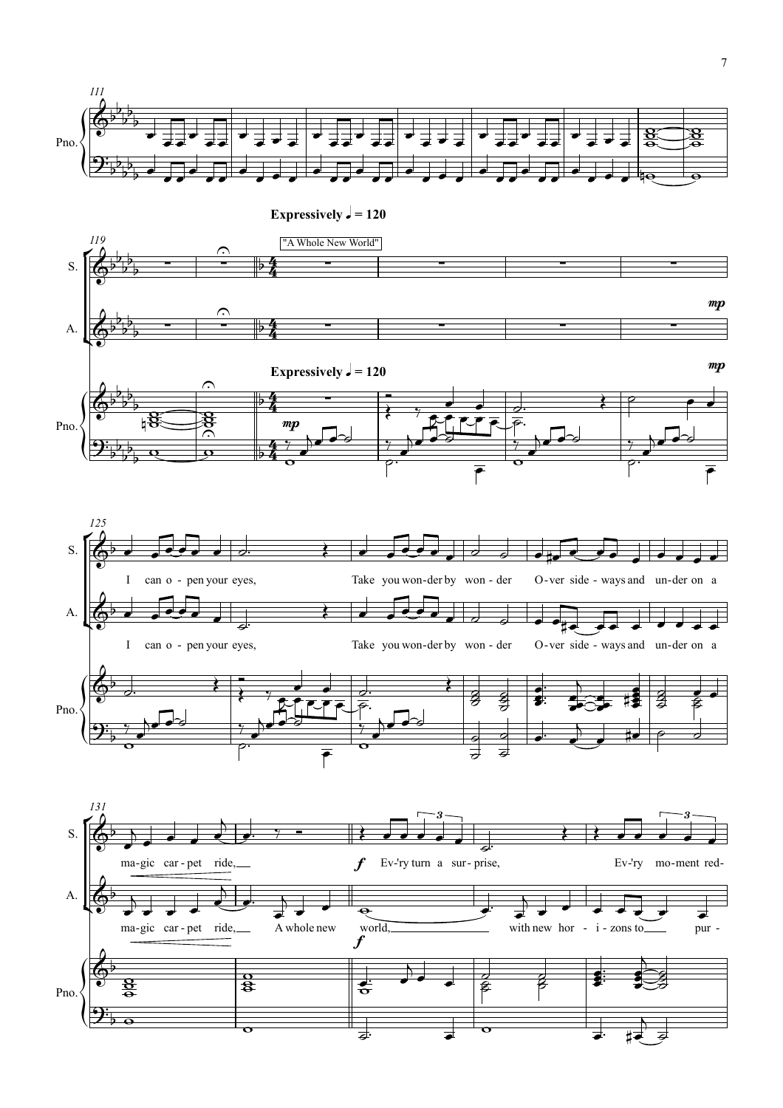



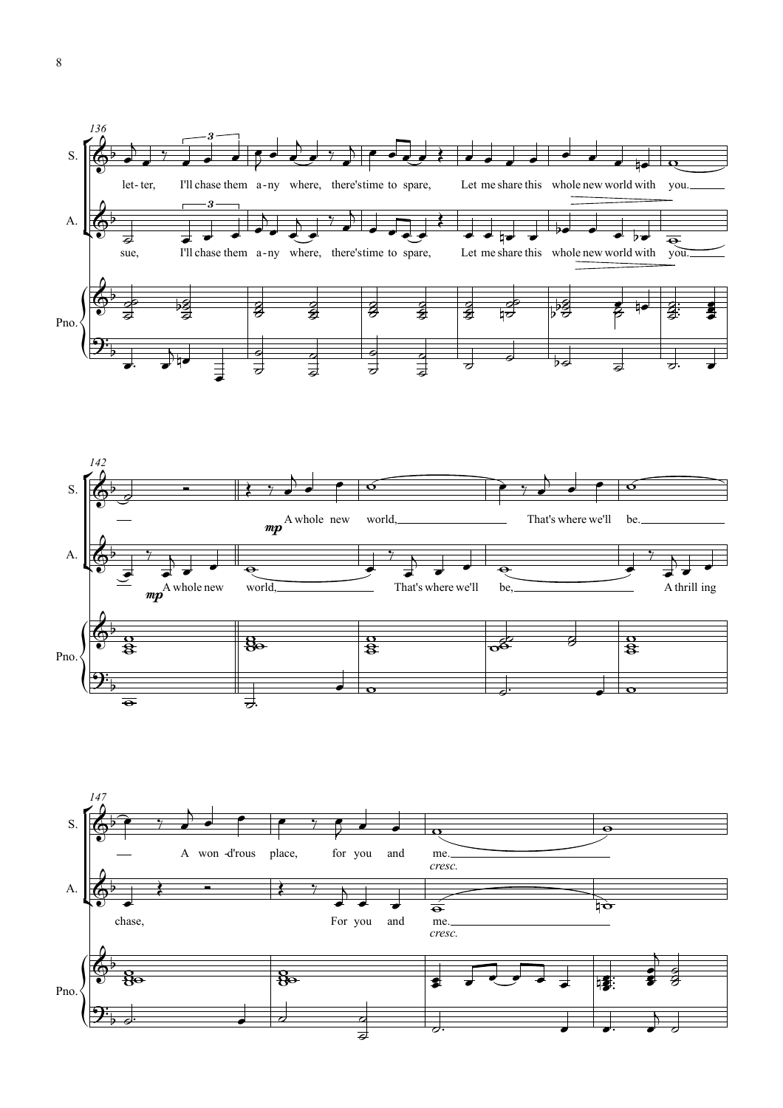